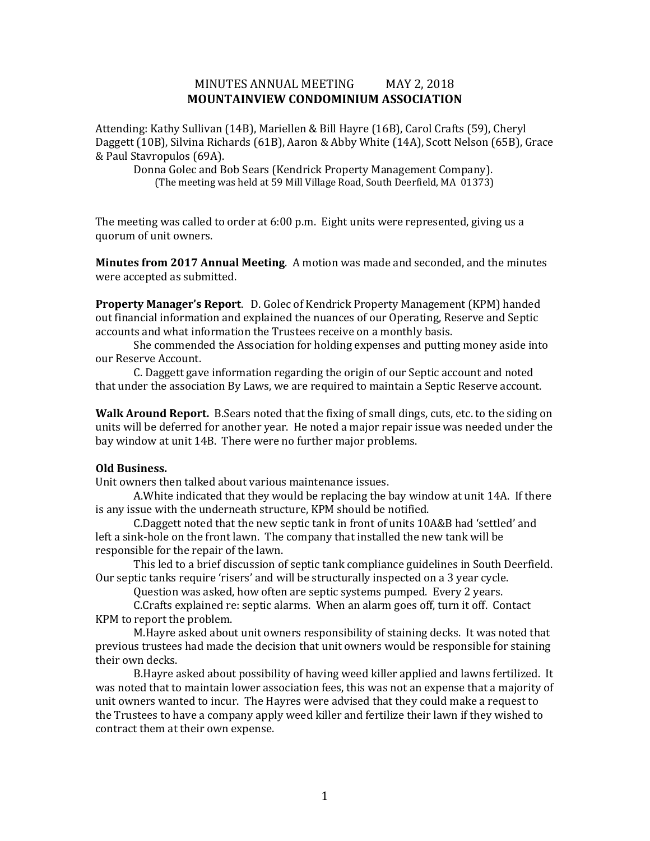# MINUTES ANNUAL MEETING MAY 2, 2018 **MOUNTAINVIEW CONDOMINIUM ASSOCIATION**

Attending: Kathy Sullivan (14B), Mariellen & Bill Hayre (16B), Carol Crafts (59), Cheryl Daggett (10B), Silvina Richards (61B), Aaron & Abby White (14A), Scott Nelson (65B), Grace & Paul Stavropulos (69A).

Donna Golec and Bob Sears (Kendrick Property Management Company). (The meeting was held at 59 Mill Village Road, South Deerfield, MA 01373)

The meeting was called to order at 6:00 p.m. Eight units were represented, giving us a quorum of unit owners.

**Minutes from 2017 Annual Meeting**. A motion was made and seconded, and the minutes were accepted as submitted.

**Property Manager's Report**. D. Golec of Kendrick Property Management (KPM) handed out financial information and explained the nuances of our Operating, Reserve and Septic accounts and what information the Trustees receive on a monthly basis.

She commended the Association for holding expenses and putting money aside into our Reserve Account.

C. Daggett gave information regarding the origin of our Septic account and noted that under the association By Laws, we are required to maintain a Septic Reserve account.

**Walk Around Report.** B.Sears noted that the fixing of small dings, cuts, etc. to the siding on units will be deferred for another year. He noted a major repair issue was needed under the bay window at unit 14B. There were no further major problems.

### **Old Business.**

Unit owners then talked about various maintenance issues.

A.White indicated that they would be replacing the bay window at unit 14A. If there is any issue with the underneath structure, KPM should be notified.

C.Daggett noted that the new septic tank in front of units 10A&B had 'settled' and left a sink-hole on the front lawn. The company that installed the new tank will be responsible for the repair of the lawn.

This led to a brief discussion of septic tank compliance guidelines in South Deerfield. Our septic tanks require 'risers' and will be structurally inspected on a 3 year cycle.

Question was asked, how often are septic systems pumped. Every 2 years.

C.Crafts explained re: septic alarms. When an alarm goes off, turn it off. Contact KPM to report the problem.

M.Hayre asked about unit owners responsibility of staining decks. It was noted that previous trustees had made the decision that unit owners would be responsible for staining their own decks.

B.Hayre asked about possibility of having weed killer applied and lawns fertilized. It was noted that to maintain lower association fees, this was not an expense that a majority of unit owners wanted to incur. The Hayres were advised that they could make a request to the Trustees to have a company apply weed killer and fertilize their lawn if they wished to contract them at their own expense.